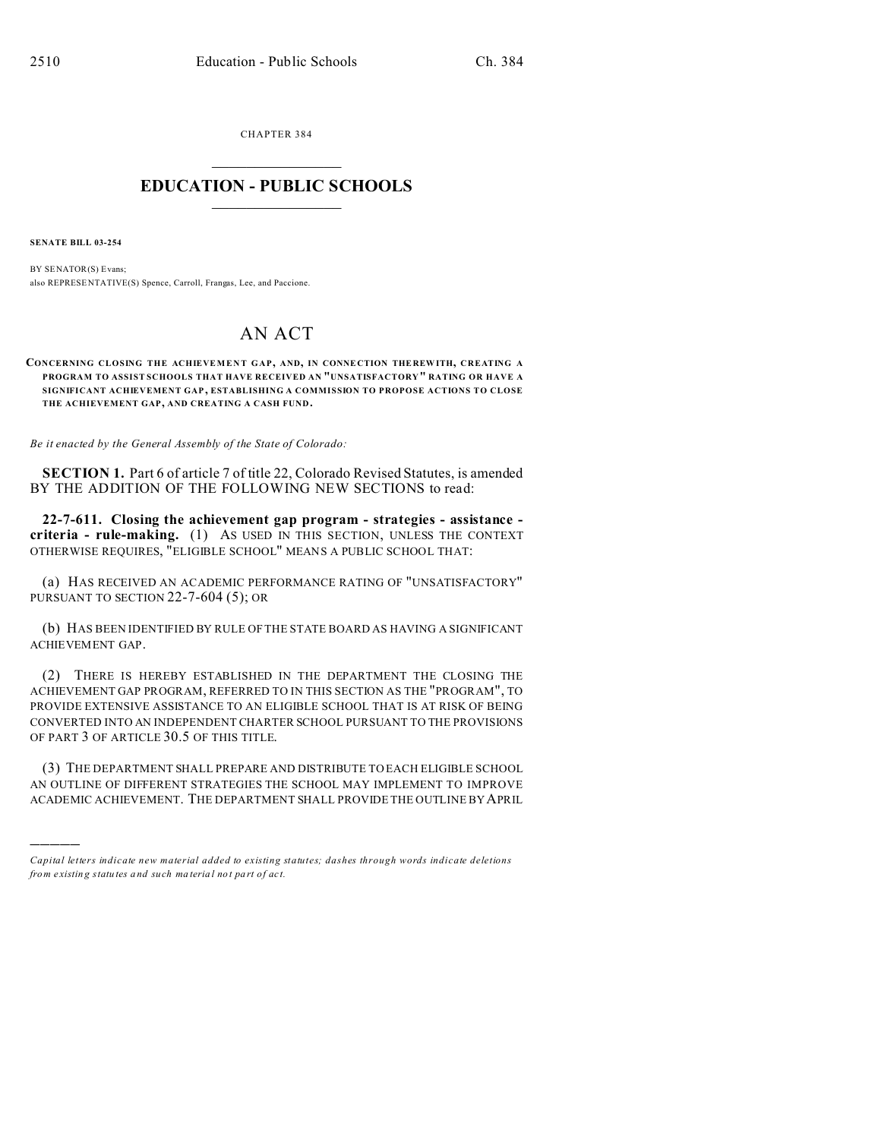CHAPTER 384  $\overline{\phantom{a}}$  , where  $\overline{\phantom{a}}$ 

## **EDUCATION - PUBLIC SCHOOLS**  $\_$   $\_$   $\_$   $\_$   $\_$   $\_$   $\_$   $\_$   $\_$

**SENATE BILL 03-254**

)))))

BY SENATOR(S) Evans; also REPRESE NTATIVE(S) Spence, Carroll, Frangas, Lee, and Paccione.

## AN ACT

**CONCERNING CLOSING THE ACHIEVEMENT GAP, AND, IN CONNE CTION THE REW ITH, CREATING A PROGRAM TO ASSIST SCHOOLS THAT HAVE RECEIVED AN "UNSATISFACTORY" RATING OR HAVE A SIGNIFICANT ACHIEVEMENT GAP , ESTABLISHING A COMMISSION TO PROPOSE ACTIONS TO CLOSE THE ACHIEVEMENT GAP, AND CREATING A CASH FUND.**

*Be it enacted by the General Assembly of the State of Colorado:*

**SECTION 1.** Part 6 of article 7 of title 22, Colorado Revised Statutes, is amended BY THE ADDITION OF THE FOLLOWING NEW SECTIONS to read:

**22-7-611. Closing the achievement gap program - strategies - assistance criteria - rule-making.** (1) AS USED IN THIS SECTION, UNLESS THE CONTEXT OTHERWISE REQUIRES, "ELIGIBLE SCHOOL" MEANS A PUBLIC SCHOOL THAT:

(a) HAS RECEIVED AN ACADEMIC PERFORMANCE RATING OF "UNSATISFACTORY" PURSUANT TO SECTION 22-7-604 (5); OR

(b) HAS BEEN IDENTIFIED BY RULE OF THE STATE BOARD AS HAVING A SIGNIFICANT ACHIEVEMENT GAP.

(2) THERE IS HEREBY ESTABLISHED IN THE DEPARTMENT THE CLOSING THE ACHIEVEMENT GAP PROGRAM, REFERRED TO IN THIS SECTION AS THE "PROGRAM", TO PROVIDE EXTENSIVE ASSISTANCE TO AN ELIGIBLE SCHOOL THAT IS AT RISK OF BEING CONVERTED INTO AN INDEPENDENT CHARTER SCHOOL PURSUANT TO THE PROVISIONS OF PART 3 OF ARTICLE 30.5 OF THIS TITLE.

(3) THE DEPARTMENT SHALL PREPARE AND DISTRIBUTE TO EACH ELIGIBLE SCHOOL AN OUTLINE OF DIFFERENT STRATEGIES THE SCHOOL MAY IMPLEMENT TO IMPROVE ACADEMIC ACHIEVEMENT. THE DEPARTMENT SHALL PROVIDE THE OUTLINE BY APRIL

*Capital letters indicate new material added to existing statutes; dashes through words indicate deletions from e xistin g statu tes a nd such ma teria l no t pa rt of ac t.*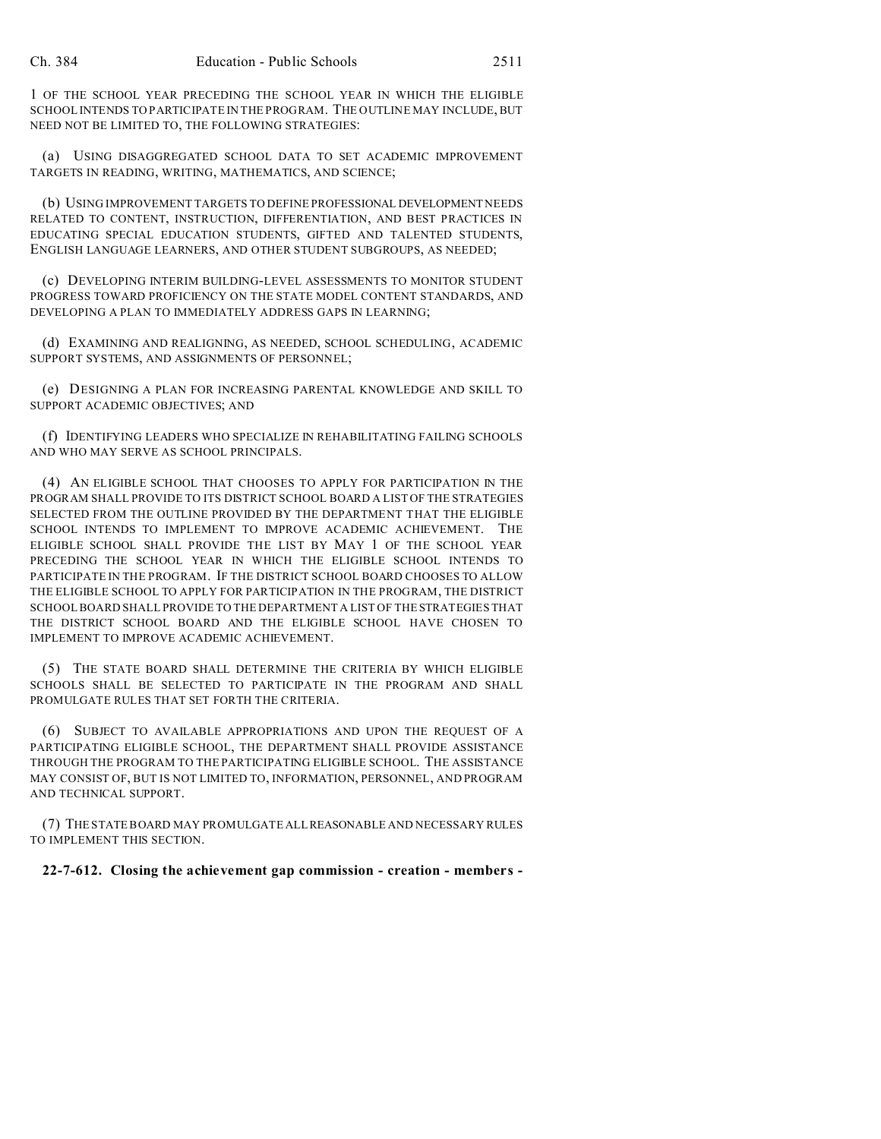1 OF THE SCHOOL YEAR PRECEDING THE SCHOOL YEAR IN WHICH THE ELIGIBLE SCHOOL INTENDS TO PARTICIPATE IN THE PROGRAM. THE OUTLINE MAY INCLUDE, BUT NEED NOT BE LIMITED TO, THE FOLLOWING STRATEGIES:

(a) USING DISAGGREGATED SCHOOL DATA TO SET ACADEMIC IMPROVEMENT TARGETS IN READING, WRITING, MATHEMATICS, AND SCIENCE;

(b) USING IMPROVEMENT TARGETS TO DEFINE PROFESSIONAL DEVELOPMENT NEEDS RELATED TO CONTENT, INSTRUCTION, DIFFERENTIATION, AND BEST PRACTICES IN EDUCATING SPECIAL EDUCATION STUDENTS, GIFTED AND TALENTED STUDENTS, ENGLISH LANGUAGE LEARNERS, AND OTHER STUDENT SUBGROUPS, AS NEEDED;

(c) DEVELOPING INTERIM BUILDING-LEVEL ASSESSMENTS TO MONITOR STUDENT PROGRESS TOWARD PROFICIENCY ON THE STATE MODEL CONTENT STANDARDS, AND DEVELOPING A PLAN TO IMMEDIATELY ADDRESS GAPS IN LEARNING;

(d) EXAMINING AND REALIGNING, AS NEEDED, SCHOOL SCHEDULING, ACADEMIC SUPPORT SYSTEMS, AND ASSIGNMENTS OF PERSONNEL;

(e) DESIGNING A PLAN FOR INCREASING PARENTAL KNOWLEDGE AND SKILL TO SUPPORT ACADEMIC OBJECTIVES; AND

(f) IDENTIFYING LEADERS WHO SPECIALIZE IN REHABILITATING FAILING SCHOOLS AND WHO MAY SERVE AS SCHOOL PRINCIPALS.

(4) AN ELIGIBLE SCHOOL THAT CHOOSES TO APPLY FOR PARTICIPATION IN THE PROGRAM SHALL PROVIDE TO ITS DISTRICT SCHOOL BOARD A LIST OF THE STRATEGIES SELECTED FROM THE OUTLINE PROVIDED BY THE DEPARTMENT THAT THE ELIGIBLE SCHOOL INTENDS TO IMPLEMENT TO IMPROVE ACADEMIC ACHIEVEMENT. THE ELIGIBLE SCHOOL SHALL PROVIDE THE LIST BY MAY 1 OF THE SCHOOL YEAR PRECEDING THE SCHOOL YEAR IN WHICH THE ELIGIBLE SCHOOL INTENDS TO PARTICIPATE IN THE PROGRAM. IF THE DISTRICT SCHOOL BOARD CHOOSES TO ALLOW THE ELIGIBLE SCHOOL TO APPLY FOR PARTICIPATION IN THE PROGRAM, THE DISTRICT SCHOOL BOARD SHALL PROVIDE TO THE DEPARTMENT A LIST OF THE STRATEGIES THAT THE DISTRICT SCHOOL BOARD AND THE ELIGIBLE SCHOOL HAVE CHOSEN TO IMPLEMENT TO IMPROVE ACADEMIC ACHIEVEMENT.

(5) THE STATE BOARD SHALL DETERMINE THE CRITERIA BY WHICH ELIGIBLE SCHOOLS SHALL BE SELECTED TO PARTICIPATE IN THE PROGRAM AND SHALL PROMULGATE RULES THAT SET FORTH THE CRITERIA.

(6) SUBJECT TO AVAILABLE APPROPRIATIONS AND UPON THE REQUEST OF A PARTICIPATING ELIGIBLE SCHOOL, THE DEPARTMENT SHALL PROVIDE ASSISTANCE THROUGH THE PROGRAM TO THE PARTICIPATING ELIGIBLE SCHOOL. THE ASSISTANCE MAY CONSIST OF, BUT IS NOT LIMITED TO, INFORMATION, PERSONNEL, AND PROGRAM AND TECHNICAL SUPPORT.

(7) THE STATE BOARD MAY PROMULGATE ALLREASONABLE AND NECESSARY RULES TO IMPLEMENT THIS SECTION.

**22-7-612. Closing the achievement gap commission - creation - members -**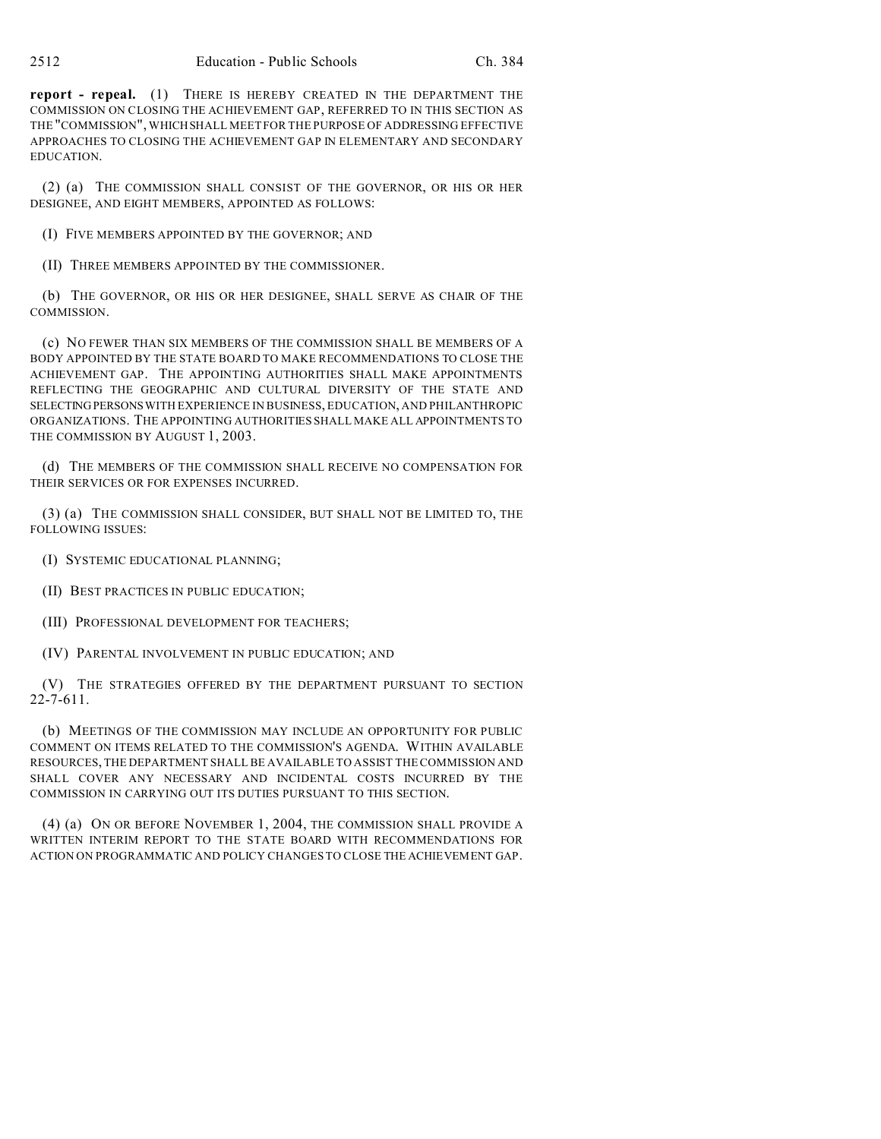**report - repeal.** (1) THERE IS HEREBY CREATED IN THE DEPARTMENT THE COMMISSION ON CLOSING THE ACHIEVEMENT GAP, REFERRED TO IN THIS SECTION AS THE "COMMISSION", WHICHSHALL MEET FOR THE PURPOSE OF ADDRESSING EFFECTIVE APPROACHES TO CLOSING THE ACHIEVEMENT GAP IN ELEMENTARY AND SECONDARY EDUCATION.

(2) (a) THE COMMISSION SHALL CONSIST OF THE GOVERNOR, OR HIS OR HER DESIGNEE, AND EIGHT MEMBERS, APPOINTED AS FOLLOWS:

(I) FIVE MEMBERS APPOINTED BY THE GOVERNOR; AND

(II) THREE MEMBERS APPOINTED BY THE COMMISSIONER.

(b) THE GOVERNOR, OR HIS OR HER DESIGNEE, SHALL SERVE AS CHAIR OF THE COMMISSION.

(c) NO FEWER THAN SIX MEMBERS OF THE COMMISSION SHALL BE MEMBERS OF A BODY APPOINTED BY THE STATE BOARD TO MAKE RECOMMENDATIONS TO CLOSE THE ACHIEVEMENT GAP. THE APPOINTING AUTHORITIES SHALL MAKE APPOINTMENTS REFLECTING THE GEOGRAPHIC AND CULTURAL DIVERSITY OF THE STATE AND SELECTING PERSONSWITH EXPERIENCE IN BUSINESS, EDUCATION, AND PHILANTHROPIC ORGANIZATIONS. THE APPOINTING AUTHORITIES SHALL MAKE ALL APPOINTMENTS TO THE COMMISSION BY AUGUST 1, 2003.

(d) THE MEMBERS OF THE COMMISSION SHALL RECEIVE NO COMPENSATION FOR THEIR SERVICES OR FOR EXPENSES INCURRED.

(3) (a) THE COMMISSION SHALL CONSIDER, BUT SHALL NOT BE LIMITED TO, THE FOLLOWING ISSUES:

(I) SYSTEMIC EDUCATIONAL PLANNING;

(II) BEST PRACTICES IN PUBLIC EDUCATION;

(III) PROFESSIONAL DEVELOPMENT FOR TEACHERS;

(IV) PARENTAL INVOLVEMENT IN PUBLIC EDUCATION; AND

(V) THE STRATEGIES OFFERED BY THE DEPARTMENT PURSUANT TO SECTION 22-7-611.

(b) MEETINGS OF THE COMMISSION MAY INCLUDE AN OPPORTUNITY FOR PUBLIC COMMENT ON ITEMS RELATED TO THE COMMISSION'S AGENDA. WITHIN AVAILABLE RESOURCES, THE DEPARTMENT SHALL BE AVAILABLE TO ASSIST THE COMMISSION AND SHALL COVER ANY NECESSARY AND INCIDENTAL COSTS INCURRED BY THE COMMISSION IN CARRYING OUT ITS DUTIES PURSUANT TO THIS SECTION.

(4) (a) ON OR BEFORE NOVEMBER 1, 2004, THE COMMISSION SHALL PROVIDE A WRITTEN INTERIM REPORT TO THE STATE BOARD WITH RECOMMENDATIONS FOR ACTION ON PROGRAMMATIC AND POLICY CHANGES TO CLOSE THE ACHIEVEMENT GAP.